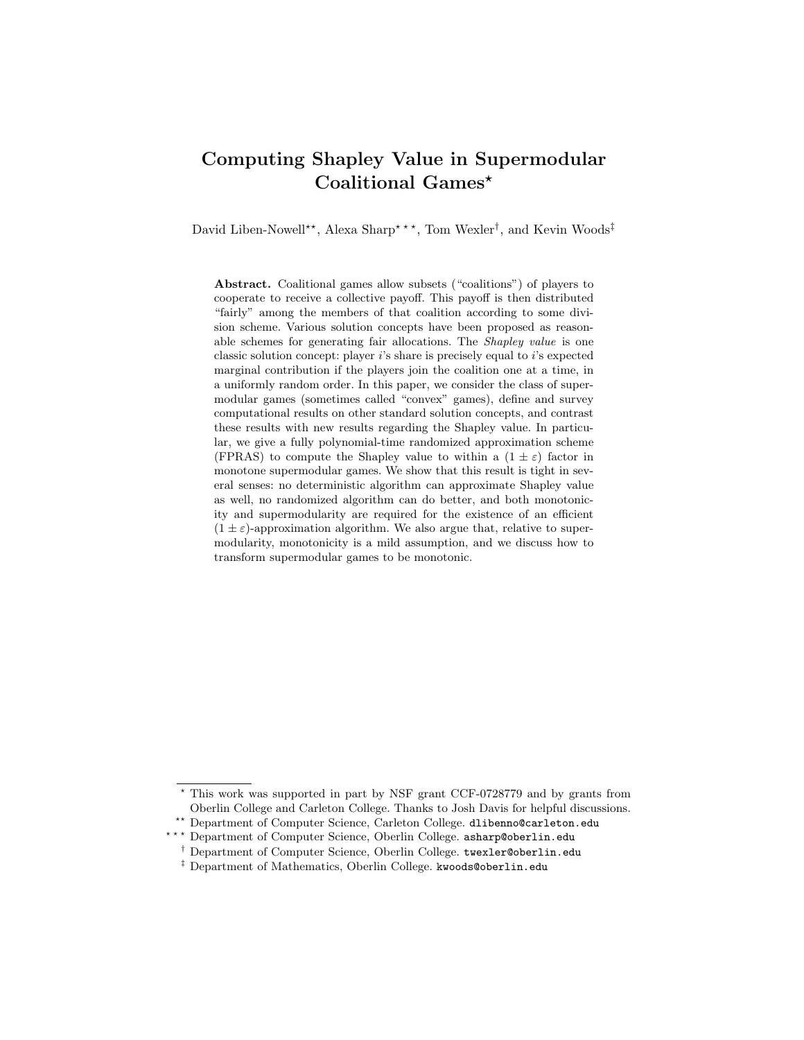# Computing Shapley Value in Supermodular Coalitional Games\*

David Liben-Nowell<sup>\*\*</sup>, Alexa Sharp<sup>\*\*\*</sup>, Tom Wexler<sup>†</sup>, and Kevin Woods<sup>‡</sup>

Abstract. Coalitional games allow subsets ("coalitions") of players to cooperate to receive a collective payoff. This payoff is then distributed "fairly" among the members of that coalition according to some division scheme. Various solution concepts have been proposed as reasonable schemes for generating fair allocations. The Shapley value is one classic solution concept: player i's share is precisely equal to i's expected marginal contribution if the players join the coalition one at a time, in a uniformly random order. In this paper, we consider the class of supermodular games (sometimes called "convex" games), define and survey computational results on other standard solution concepts, and contrast these results with new results regarding the Shapley value. In particular, we give a fully polynomial-time randomized approximation scheme (FPRAS) to compute the Shapley value to within a  $(1 \pm \varepsilon)$  factor in monotone supermodular games. We show that this result is tight in several senses: no deterministic algorithm can approximate Shapley value as well, no randomized algorithm can do better, and both monotonicity and supermodularity are required for the existence of an efficient  $(1 \pm \varepsilon)$ -approximation algorithm. We also argue that, relative to supermodularity, monotonicity is a mild assumption, and we discuss how to transform supermodular games to be monotonic.

<sup>?</sup> This work was supported in part by NSF grant CCF-0728779 and by grants from Oberlin College and Carleton College. Thanks to Josh Davis for helpful discussions. \*\* Department of Computer Science, Carleton College. dlibenno@carleton.edu

 $^{\star\;\star\;\star}$  Department of Computer Science, Oberlin College. asharp@oberlin.edu

<sup>†</sup> Department of Computer Science, Oberlin College. twexler@oberlin.edu

<sup>&</sup>lt;sup>‡</sup> Department of Mathematics, Oberlin College. kwoods@oberlin.edu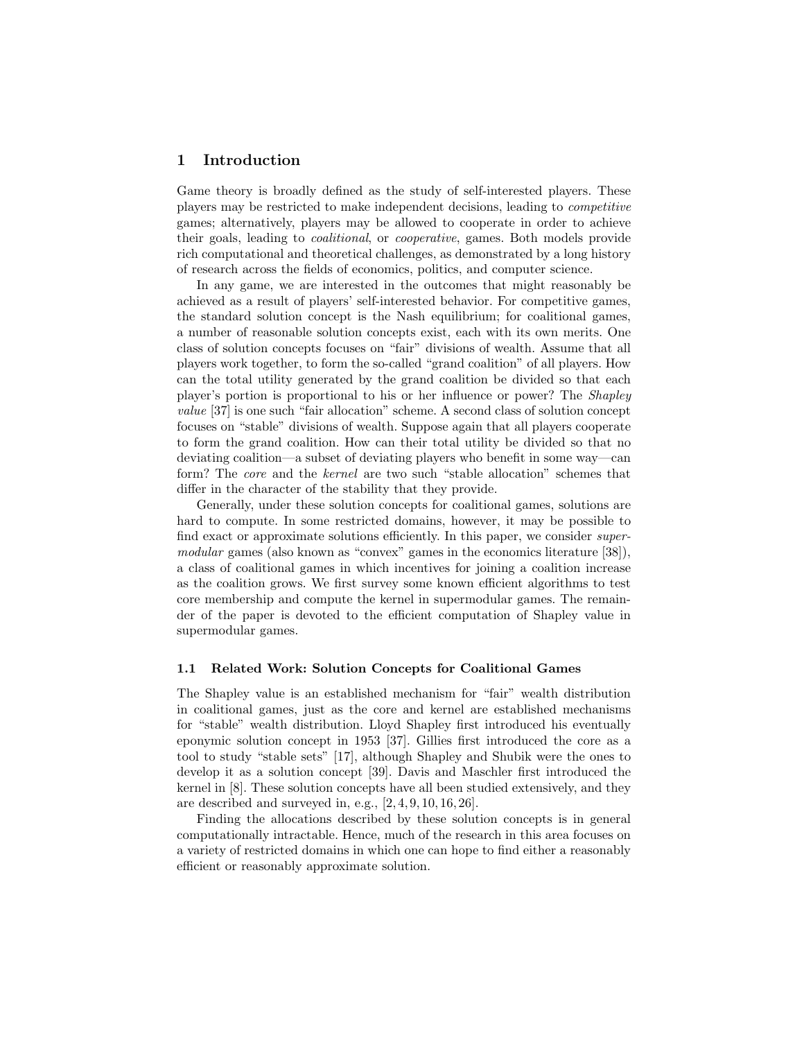#### 1 Introduction

Game theory is broadly defined as the study of self-interested players. These players may be restricted to make independent decisions, leading to competitive games; alternatively, players may be allowed to cooperate in order to achieve their goals, leading to coalitional, or cooperative, games. Both models provide rich computational and theoretical challenges, as demonstrated by a long history of research across the fields of economics, politics, and computer science.

In any game, we are interested in the outcomes that might reasonably be achieved as a result of players' self-interested behavior. For competitive games, the standard solution concept is the Nash equilibrium; for coalitional games, a number of reasonable solution concepts exist, each with its own merits. One class of solution concepts focuses on "fair" divisions of wealth. Assume that all players work together, to form the so-called "grand coalition" of all players. How can the total utility generated by the grand coalition be divided so that each player's portion is proportional to his or her influence or power? The Shapley value [37] is one such "fair allocation" scheme. A second class of solution concept focuses on "stable" divisions of wealth. Suppose again that all players cooperate to form the grand coalition. How can their total utility be divided so that no deviating coalition—a subset of deviating players who benefit in some way—can form? The core and the kernel are two such "stable allocation" schemes that differ in the character of the stability that they provide.

Generally, under these solution concepts for coalitional games, solutions are hard to compute. In some restricted domains, however, it may be possible to find exact or approximate solutions efficiently. In this paper, we consider supermodular games (also known as "convex" games in the economics literature [38]), a class of coalitional games in which incentives for joining a coalition increase as the coalition grows. We first survey some known efficient algorithms to test core membership and compute the kernel in supermodular games. The remainder of the paper is devoted to the efficient computation of Shapley value in supermodular games.

#### 1.1 Related Work: Solution Concepts for Coalitional Games

The Shapley value is an established mechanism for "fair" wealth distribution in coalitional games, just as the core and kernel are established mechanisms for "stable" wealth distribution. Lloyd Shapley first introduced his eventually eponymic solution concept in 1953 [37]. Gillies first introduced the core as a tool to study "stable sets" [17], although Shapley and Shubik were the ones to develop it as a solution concept [39]. Davis and Maschler first introduced the kernel in [8]. These solution concepts have all been studied extensively, and they are described and surveyed in, e.g., [2, 4, 9, 10, 16, 26].

Finding the allocations described by these solution concepts is in general computationally intractable. Hence, much of the research in this area focuses on a variety of restricted domains in which one can hope to find either a reasonably efficient or reasonably approximate solution.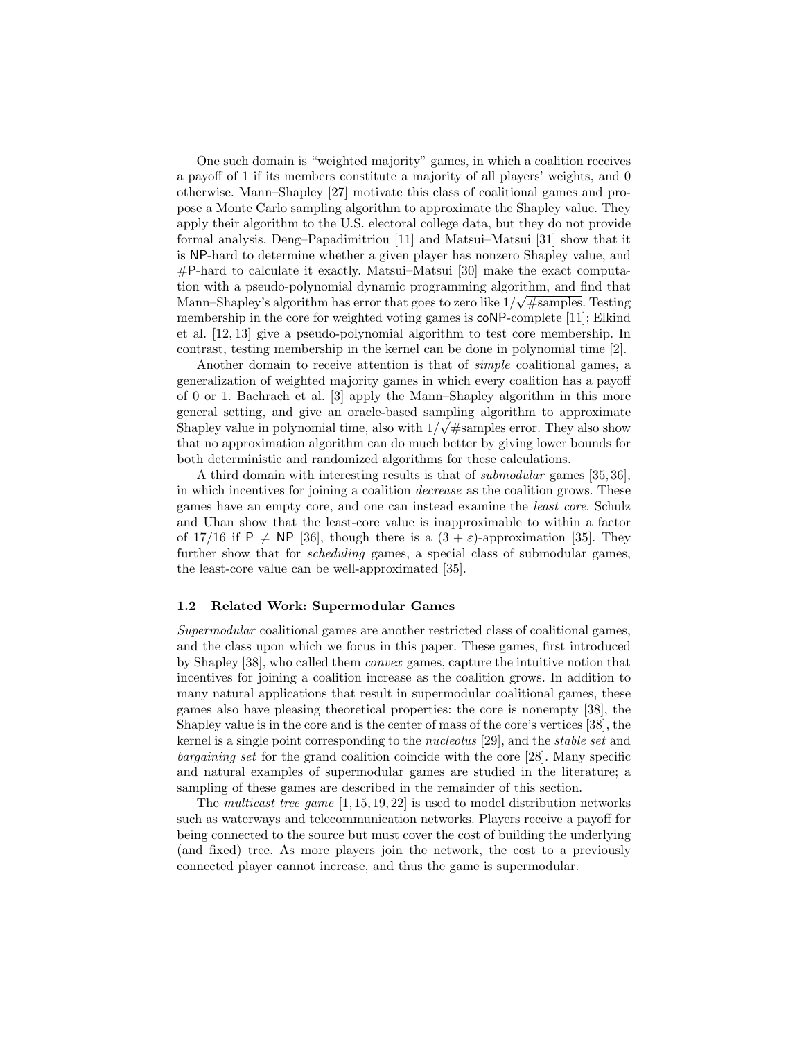One such domain is "weighted majority" games, in which a coalition receives a payoff of 1 if its members constitute a majority of all players' weights, and 0 otherwise. Mann–Shapley [27] motivate this class of coalitional games and propose a Monte Carlo sampling algorithm to approximate the Shapley value. They apply their algorithm to the U.S. electoral college data, but they do not provide formal analysis. Deng–Papadimitriou [11] and Matsui–Matsui [31] show that it is NP-hard to determine whether a given player has nonzero Shapley value, and #P-hard to calculate it exactly. Matsui–Matsui [30] make the exact computation with a pseudo-polynomial dynamic programming algorithm, and find that Mann–Shapley's algorithm has error that goes to zero like  $1/\sqrt{\text{\#samples}}$ . Testing membership in the core for weighted voting games is coNP-complete [11]; Elkind et al. [12, 13] give a pseudo-polynomial algorithm to test core membership. In contrast, testing membership in the kernel can be done in polynomial time [2].

Another domain to receive attention is that of simple coalitional games, a generalization of weighted majority games in which every coalition has a payoff of 0 or 1. Bachrach et al. [3] apply the Mann–Shapley algorithm in this more general setting, and give an oracle-based sampling algorithm to approximate Shapley value in polynomial time, also with  $1/\sqrt{\text{\#samples}}$  error. They also show that no approximation algorithm can do much better by giving lower bounds for both deterministic and randomized algorithms for these calculations.

A third domain with interesting results is that of submodular games [35, 36], in which incentives for joining a coalition decrease as the coalition grows. These games have an empty core, and one can instead examine the least core. Schulz and Uhan show that the least-core value is inapproximable to within a factor of 17/16 if P  $\neq$  NP [36], though there is a  $(3 + \varepsilon)$ -approximation [35]. They further show that for *scheduling* games, a special class of submodular games, the least-core value can be well-approximated [35].

#### 1.2 Related Work: Supermodular Games

Supermodular coalitional games are another restricted class of coalitional games, and the class upon which we focus in this paper. These games, first introduced by Shapley [38], who called them convex games, capture the intuitive notion that incentives for joining a coalition increase as the coalition grows. In addition to many natural applications that result in supermodular coalitional games, these games also have pleasing theoretical properties: the core is nonempty [38], the Shapley value is in the core and is the center of mass of the core's vertices [38], the kernel is a single point corresponding to the nucleolus [29], and the stable set and bargaining set for the grand coalition coincide with the core [28]. Many specific and natural examples of supermodular games are studied in the literature; a sampling of these games are described in the remainder of this section.

The multicast tree game  $[1, 15, 19, 22]$  is used to model distribution networks such as waterways and telecommunication networks. Players receive a payoff for being connected to the source but must cover the cost of building the underlying (and fixed) tree. As more players join the network, the cost to a previously connected player cannot increase, and thus the game is supermodular.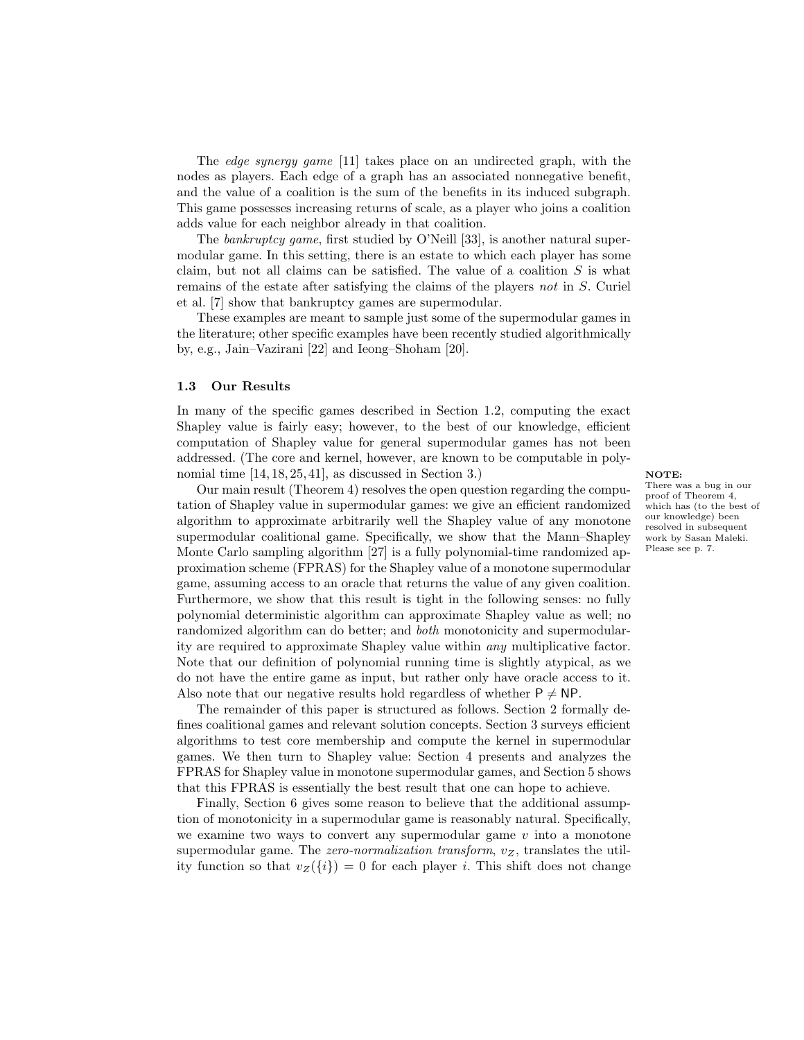The edge synergy game [11] takes place on an undirected graph, with the nodes as players. Each edge of a graph has an associated nonnegative benefit, and the value of a coalition is the sum of the benefits in its induced subgraph. This game possesses increasing returns of scale, as a player who joins a coalition adds value for each neighbor already in that coalition.

The *bankruptcy game*, first studied by O'Neill [33], is another natural supermodular game. In this setting, there is an estate to which each player has some claim, but not all claims can be satisfied. The value of a coalition  $S$  is what remains of the estate after satisfying the claims of the players not in S. Curiel et al. [7] show that bankruptcy games are supermodular.

These examples are meant to sample just some of the supermodular games in the literature; other specific examples have been recently studied algorithmically by, e.g., Jain–Vazirani [22] and Ieong–Shoham [20].

#### 1.3 Our Results

In many of the specific games described in Section 1.2, computing the exact Shapley value is fairly easy; however, to the best of our knowledge, efficient computation of Shapley value for general supermodular games has not been addressed. (The core and kernel, however, are known to be computable in polynomial time  $[14, 18, 25, 41]$ , as discussed in Section 3.) NOTE:

Our main result (Theorem 4) resolves the open question regarding the computation of Shapley value in supermodular games: we give an efficient randomized algorithm to approximate arbitrarily well the Shapley value of any monotone supermodular coalitional game. Specifically, we show that the Mann–Shapley Monte Carlo sampling algorithm [27] is a fully polynomial-time randomized approximation scheme (FPRAS) for the Shapley value of a monotone supermodular game, assuming access to an oracle that returns the value of any given coalition. Furthermore, we show that this result is tight in the following senses: no fully polynomial deterministic algorithm can approximate Shapley value as well; no randomized algorithm can do better; and *both* monotonicity and supermodularity are required to approximate Shapley value within any multiplicative factor. Note that our definition of polynomial running time is slightly atypical, as we do not have the entire game as input, but rather only have oracle access to it. Also note that our negative results hold regardless of whether  $P \neq NP$ .

The remainder of this paper is structured as follows. Section 2 formally defines coalitional games and relevant solution concepts. Section 3 surveys efficient algorithms to test core membership and compute the kernel in supermodular games. We then turn to Shapley value: Section 4 presents and analyzes the FPRAS for Shapley value in monotone supermodular games, and Section 5 shows that this FPRAS is essentially the best result that one can hope to achieve.

Finally, Section 6 gives some reason to believe that the additional assumption of monotonicity in a supermodular game is reasonably natural. Specifically, we examine two ways to convert any supermodular game  $v$  into a monotone supermodular game. The zero-normalization transform,  $v_Z$ , translates the utility function so that  $v_Z({i}) = 0$  for each player *i*. This shift does not change

There was a bug in our proof of Theorem 4, which has (to the best of our knowledge) been resolved in subsequent work by Sasan Maleki. Please see p. 7.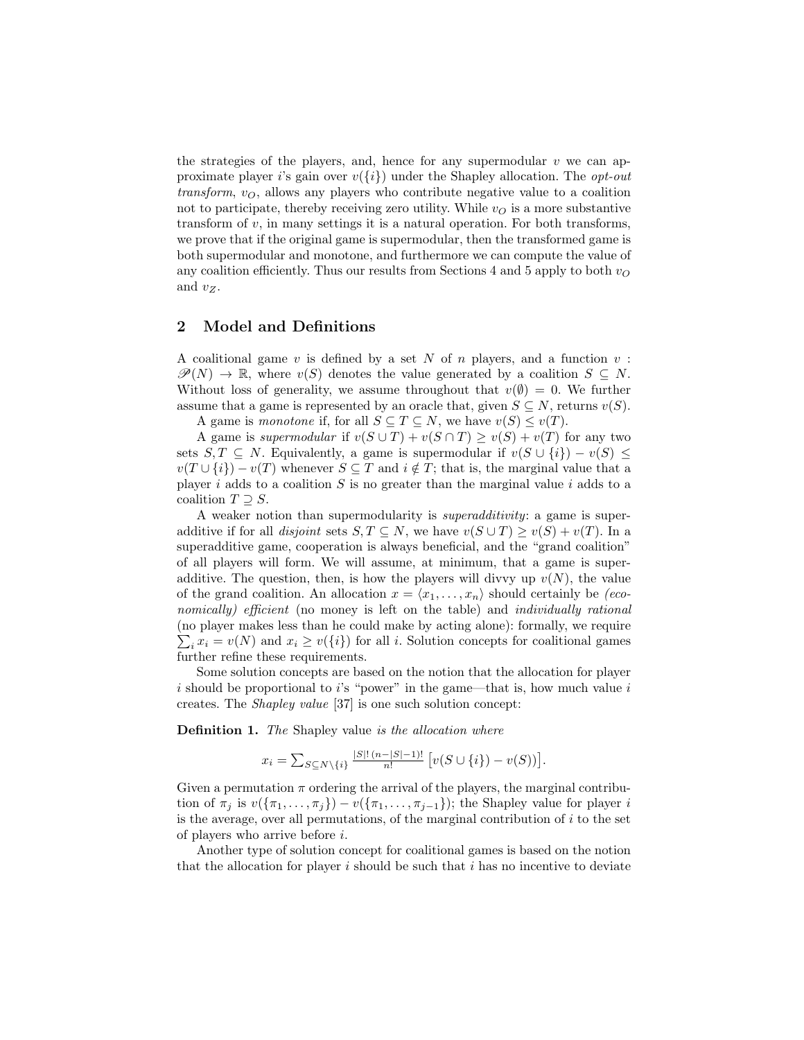the strategies of the players, and, hence for any supermodular  $v$  we can approximate player i's gain over  $v({i})$  under the Shapley allocation. The *opt-out* transform,  $v_O$ , allows any players who contribute negative value to a coalition not to participate, thereby receiving zero utility. While  $v<sub>O</sub>$  is a more substantive transform of  $v$ , in many settings it is a natural operation. For both transforms, we prove that if the original game is supermodular, then the transformed game is both supermodular and monotone, and furthermore we can compute the value of any coalition efficiently. Thus our results from Sections 4 and 5 apply to both  $v<sub>O</sub>$ and  $v_Z$ .

# 2 Model and Definitions

A coalitional game  $v$  is defined by a set  $N$  of  $n$  players, and a function  $v$ :  $\mathscr{P}(N) \to \mathbb{R}$ , where  $v(S)$  denotes the value generated by a coalition  $S \subseteq N$ . Without loss of generality, we assume throughout that  $v(\emptyset) = 0$ . We further assume that a game is represented by an oracle that, given  $S \subseteq N$ , returns  $v(S)$ .

A game is monotone if, for all  $S \subseteq T \subseteq N$ , we have  $v(S) \le v(T)$ .

A game is supermodular if  $v(S \cup T) + v(S \cap T) \ge v(S) + v(T)$  for any two sets  $S, T \subseteq N$ . Equivalently, a game is supermodular if  $v(S \cup \{i\}) - v(S) \le$  $v(T \cup \{i\}) - v(T)$  whenever  $S \subseteq T$  and  $i \notin T$ ; that is, the marginal value that a player  $i$  adds to a coalition  $S$  is no greater than the marginal value  $i$  adds to a coalition  $T \supset S$ .

A weaker notion than supermodularity is superadditivity: a game is superadditive if for all *disjoint* sets  $S, T \subseteq N$ , we have  $v(S \cup T) \ge v(S) + v(T)$ . In a superadditive game, cooperation is always beneficial, and the "grand coalition" of all players will form. We will assume, at minimum, that a game is superadditive. The question, then, is how the players will divvy up  $v(N)$ , the value of the grand coalition. An allocation  $x = \langle x_1, \ldots, x_n \rangle$  should certainly be (economically) efficient (no money is left on the table) and *individually rational* (no player makes less than he could make by acting alone): formally, we require  $\sum_i x_i = v(N)$  and  $x_i \ge v({i})$  for all *i*. Solution concepts for coalitional games further refine these requirements.

Some solution concepts are based on the notion that the allocation for player i should be proportional to i's "power" in the game—that is, how much value i creates. The Shapley value [37] is one such solution concept:

**Definition 1.** The Shapley value is the allocation where

$$
x_i = \sum_{S \subseteq N \setminus \{i\}} \frac{|S|! \, (n-|S|-1)!}{n!} \, \big[ v(S \cup \{i\}) - v(S)) \big].
$$

Given a permutation  $\pi$  ordering the arrival of the players, the marginal contribution of  $\pi_j$  is  $v(\{\pi_1,\ldots,\pi_j\})-v(\{\pi_1,\ldots,\pi_{j-1}\})$ ; the Shapley value for player i is the average, over all permutations, of the marginal contribution of  $i$  to the set of players who arrive before i.

Another type of solution concept for coalitional games is based on the notion that the allocation for player  $i$  should be such that  $i$  has no incentive to deviate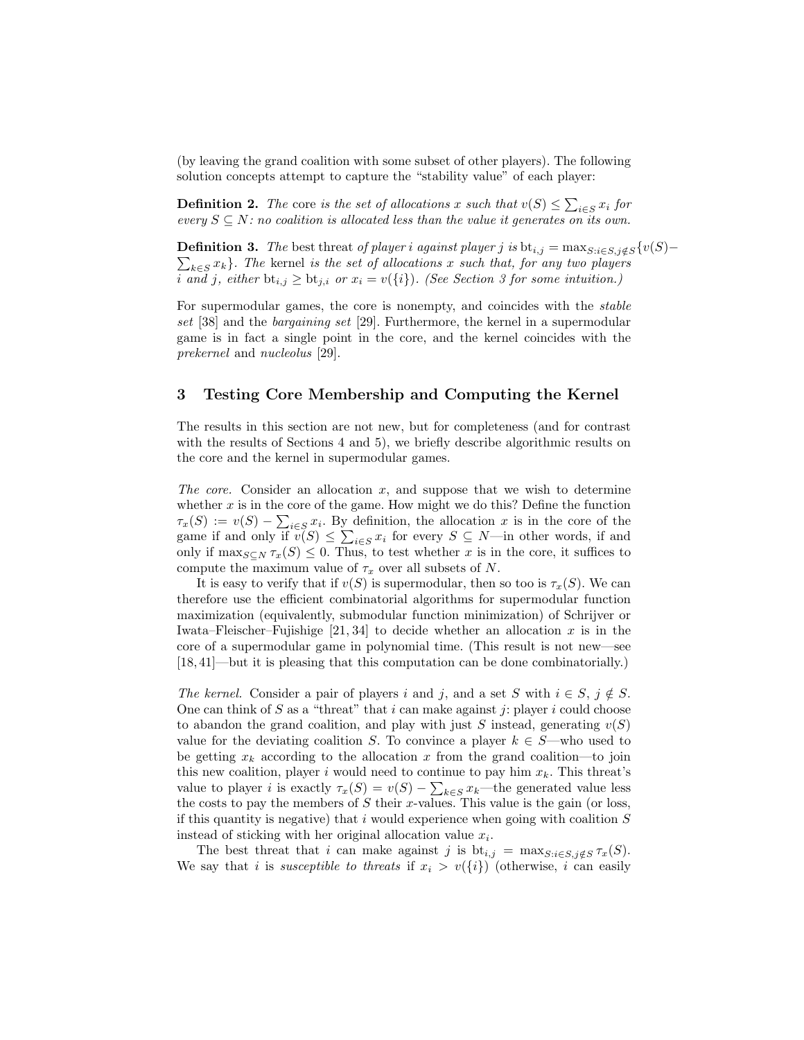(by leaving the grand coalition with some subset of other players). The following solution concepts attempt to capture the "stability value" of each player:

**Definition 2.** The core is the set of allocations x such that  $v(S) \le \sum_{i \in S} x_i$  for every  $S \subseteq N$ : no coalition is allocated less than the value it generates on its own.

**Definition 3.** The best threat of player i against player j is  $bt_{i,j} = \max_{S: i \in S, j \notin S} \{v(S) \sum_{k \in S} x_k$ }. The kernel is the set of allocations x such that, for any two players i and j, either  $bt_{i,j} \ge bt_{j,i}$  or  $x_i = v({i})$ . (See Section 3 for some intuition.)

For supermodular games, the core is nonempty, and coincides with the stable set [38] and the bargaining set [29]. Furthermore, the kernel in a supermodular game is in fact a single point in the core, and the kernel coincides with the prekernel and nucleolus [29].

## 3 Testing Core Membership and Computing the Kernel

The results in this section are not new, but for completeness (and for contrast with the results of Sections 4 and 5), we briefly describe algorithmic results on the core and the kernel in supermodular games.

The core. Consider an allocation  $x$ , and suppose that we wish to determine whether  $x$  is in the core of the game. How might we do this? Define the function  $\tau_x(S) := v(S) - \sum_{i \in S} x_i$ . By definition, the allocation x is in the core of the game if and only if  $v(S) \leq \sum_{i \in S} x_i$  for every  $S \subseteq N$ —in other words, if and only if  $\max_{S \subseteq N} \tau_x(S) \leq 0$ . Thus, to test whether x is in the core, it suffices to compute the maximum value of  $\tau_x$  over all subsets of N.

It is easy to verify that if  $v(S)$  is supermodular, then so too is  $\tau_x(S)$ . We can therefore use the efficient combinatorial algorithms for supermodular function maximization (equivalently, submodular function minimization) of Schrijver or Iwata–Fleischer–Fujishige  $[21, 34]$  to decide whether an allocation x is in the core of a supermodular game in polynomial time. (This result is not new—see [18, 41]—but it is pleasing that this computation can be done combinatorially.)

The kernel. Consider a pair of players i and j, and a set S with  $i \in S$ ,  $j \notin S$ . One can think of  $S$  as a "threat" that  $i$  can make against  $j$ : player  $i$  could choose to abandon the grand coalition, and play with just S instead, generating  $v(S)$ value for the deviating coalition S. To convince a player  $k \in S$ —who used to be getting  $x_k$  according to the allocation x from the grand coalition—to join this new coalition, player i would need to continue to pay him  $x_k$ . This threat's value to player *i* is exactly  $\tau_x(S) = v(S) - \sum_{k \in S} x_k$ —the generated value less the costs to pay the members of  $S$  their x-values. This value is the gain (or loss, if this quantity is negative) that  $i$  would experience when going with coalition  $S$ instead of sticking with her original allocation value  $x_i$ .

The best threat that i can make against j is  $bt_{i,j} = \max_{S:i \in S, j \notin S} \tau_x(S)$ . We say that i is susceptible to threats if  $x_i > v(\{i\})$  (otherwise, i can easily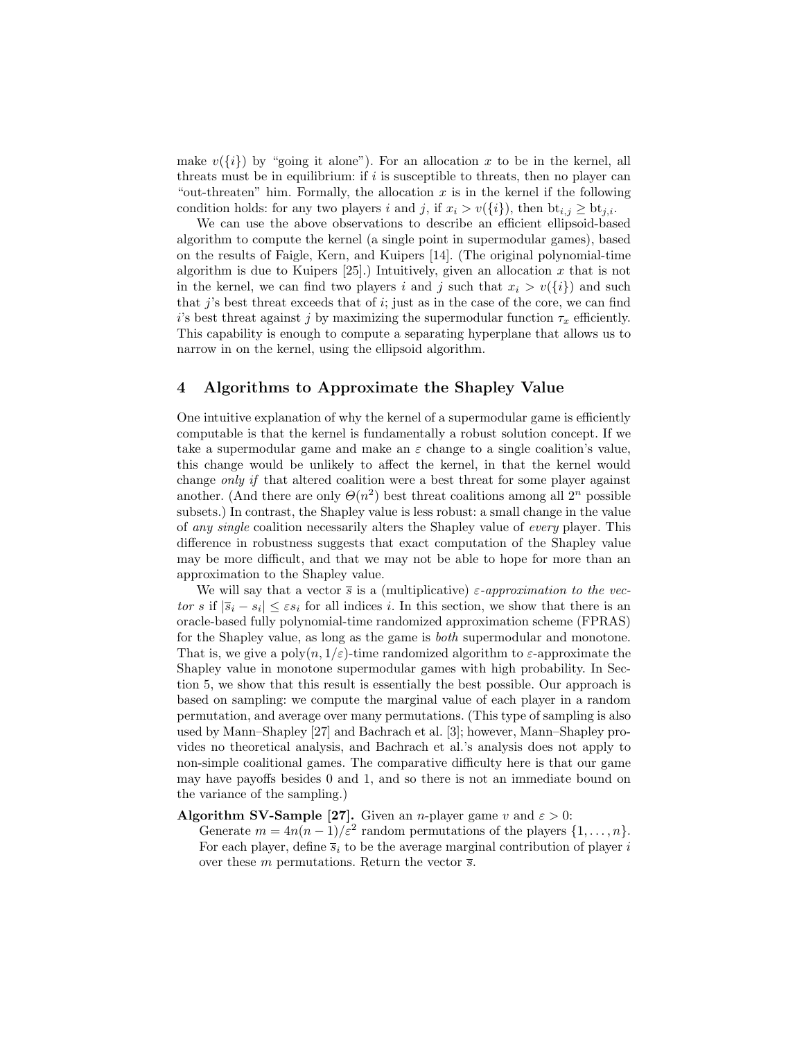make  $v({i})$  by "going it alone"). For an allocation x to be in the kernel, all threats must be in equilibrium: if  $i$  is susceptible to threats, then no player can "out-threaten" him. Formally, the allocation  $x$  is in the kernel if the following condition holds: for any two players i and j, if  $x_i > v(\{i\})$ , then  $bt_{i,j} \ge bt_{j,i}$ .

We can use the above observations to describe an efficient ellipsoid-based algorithm to compute the kernel (a single point in supermodular games), based on the results of Faigle, Kern, and Kuipers [14]. (The original polynomial-time algorithm is due to Kuipers [25].) Intuitively, given an allocation x that is not in the kernel, we can find two players i and j such that  $x_i > v(\lbrace i \rbrace)$  and such that  $j$ 's best threat exceeds that of  $i$ ; just as in the case of the core, we can find i's best threat against j by maximizing the supermodular function  $\tau_x$  efficiently. This capability is enough to compute a separating hyperplane that allows us to narrow in on the kernel, using the ellipsoid algorithm.

## 4 Algorithms to Approximate the Shapley Value

One intuitive explanation of why the kernel of a supermodular game is efficiently computable is that the kernel is fundamentally a robust solution concept. If we take a supermodular game and make an  $\varepsilon$  change to a single coalition's value, this change would be unlikely to affect the kernel, in that the kernel would change only if that altered coalition were a best threat for some player against another. (And there are only  $\Theta(n^2)$  best threat coalitions among all  $2^n$  possible subsets.) In contrast, the Shapley value is less robust: a small change in the value of any single coalition necessarily alters the Shapley value of every player. This difference in robustness suggests that exact computation of the Shapley value may be more difficult, and that we may not be able to hope for more than an approximation to the Shapley value.

We will say that a vector  $\bar{s}$  is a (multiplicative)  $\varepsilon$ -approximation to the vector s if  $|\overline{s}_i - s_i| \leq \varepsilon s_i$  for all indices i. In this section, we show that there is an oracle-based fully polynomial-time randomized approximation scheme (FPRAS) for the Shapley value, as long as the game is both supermodular and monotone. That is, we give a poly $(n, 1/\varepsilon)$ -time randomized algorithm to  $\varepsilon$ -approximate the Shapley value in monotone supermodular games with high probability. In Section 5, we show that this result is essentially the best possible. Our approach is based on sampling: we compute the marginal value of each player in a random permutation, and average over many permutations. (This type of sampling is also used by Mann–Shapley [27] and Bachrach et al. [3]; however, Mann–Shapley provides no theoretical analysis, and Bachrach et al.'s analysis does not apply to non-simple coalitional games. The comparative difficulty here is that our game may have payoffs besides 0 and 1, and so there is not an immediate bound on the variance of the sampling.)

#### Algorithm SV-Sample [27]. Given an *n*-player game v and  $\varepsilon > 0$ :

Generate  $m = 4n(n-1)/\varepsilon^2$  random permutations of the players  $\{1, \ldots, n\}.$ For each player, define  $\overline{s}_i$  to be the average marginal contribution of player i over these m permutations. Return the vector  $\bar{s}$ .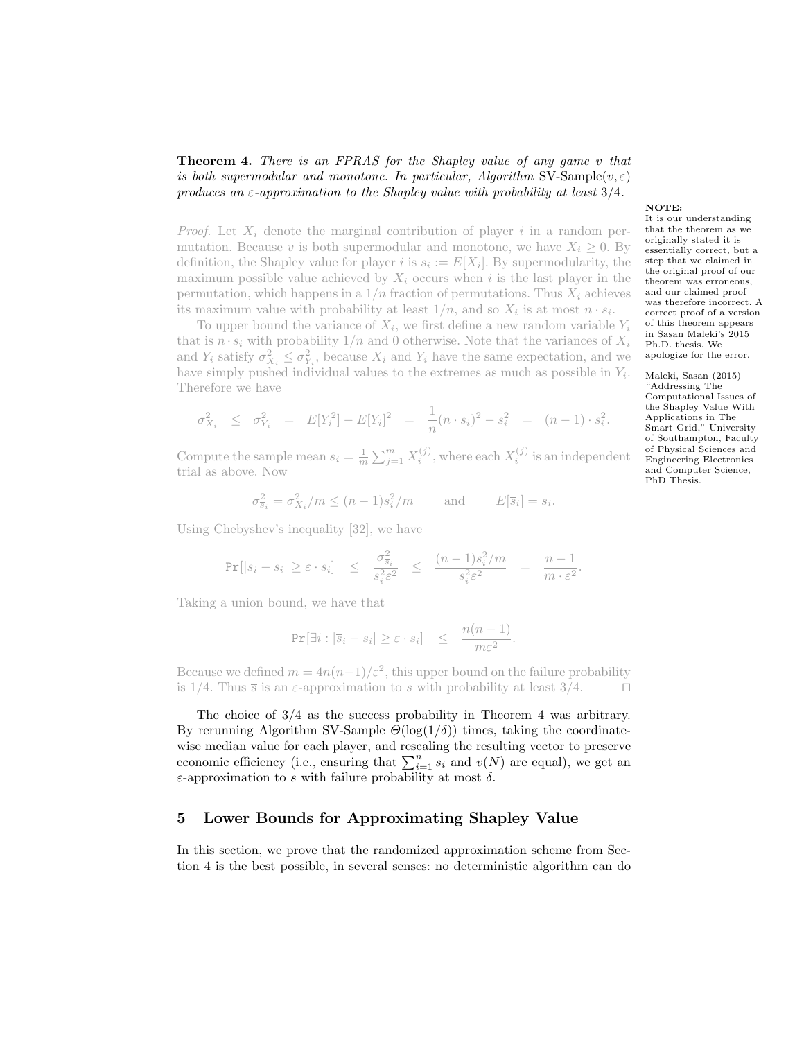# Theorem 4. There is an FPRAS for the Shapley value of any game v that is both supermodular and monotone. In particular, Algorithm SV-Sample $(v, \varepsilon)$ produces an  $\varepsilon$ -approximation to the Shapley value with probability at least 3/4.

*Proof.* Let  $X_i$  denote the marginal contribution of player i in a random permutation. Because v is both supermodular and monotone, we have  $X_i \geq 0$ . By definition, the Shapley value for player *i* is  $s_i := E[X_i]$ . By supermodularity, the maximum possible value achieved by  $X_i$  occurs when i is the last player in the permutation, which happens in a  $1/n$  fraction of permutations. Thus  $X_i$  achieves its maximum value with probability at least  $1/n$ , and so  $X_i$  is at most  $n \cdot s_i$ .

To upper bound the variance of  $X_i$ , we first define a new random variable  $Y_i$ that is  $n \cdot s_i$  with probability  $1/n$  and 0 otherwise. Note that the variances of  $X_i$ and  $Y_i$  satisfy  $\sigma_{X_i}^2 \leq \sigma_{Y_i}^2$ , because  $X_i$  and  $Y_i$  have the same expectation, and we have simply pushed individual values to the extremes as much as possible in  $Y_i$ . Therefore we have

$$
\sigma_{X_i}^2 \leq \sigma_{Y_i}^2 = E[Y_i^2] - E[Y_i]^2 = \frac{1}{n}(n \cdot s_i)^2 - s_i^2 = (n-1) \cdot s_i^2.
$$

Compute the sample mean  $\overline{s}_i = \frac{1}{m} \sum_{j=1}^m X_i^{(j)}$ , where each  $X_i^{(j)}$  is an independent trial as above. Now

$$
\sigma_{\overline{s}_i}^2 = \sigma_{X_i}^2 / m \le (n-1)s_i^2 / m \quad \text{and} \quad E[\overline{s}_i] = s_i.
$$

Using Chebyshev's inequality [32], we have

$$
\Pr[|\overline{s}_i - s_i| \ge \varepsilon \cdot s_i] \le \frac{\sigma_{\overline{s}_i}^2}{s_i^2 \varepsilon^2} \le \frac{(n-1)s_i^2/m}{s_i^2 \varepsilon^2} = \frac{n-1}{m \cdot \varepsilon^2}.
$$

Taking a union bound, we have that

$$
\Pr[\exists i : |\overline{s}_i - s_i| \ge \varepsilon \cdot s_i] \le \frac{n(n-1)}{m\varepsilon^2}.
$$

Because we defined  $m = 4n(n-1)/\varepsilon^2$ , this upper bound on the failure probability is 1/4. Thus  $\bar{s}$  is an  $\varepsilon$ -approximation to s with probability at least 3/4.

The choice of 3/4 as the success probability in Theorem 4 was arbitrary. By rerunning Algorithm SV-Sample  $\Theta(\log(1/\delta))$  times, taking the coordinatewise median value for each player, and rescaling the resulting vector to preserve economic efficiency (i.e., ensuring that  $\sum_{i=1}^{n} \overline{s_i}$  and  $v(N)$  are equal), we get an ε-approximation to s with failure probability at most δ.

#### 5 Lower Bounds for Approximating Shapley Value

In this section, we prove that the randomized approximation scheme from Section 4 is the best possible, in several senses: no deterministic algorithm can do

#### NOTE:

It is our understanding that the theorem as we originally stated it is essentially correct, but a step that we claimed in the original proof of our theorem was erroneous, and our claimed proof was therefore incorrect. A correct proof of a version of this theorem appears in Sasan Maleki's 2015 Ph.D. thesis. We apologize for the error.

Maleki, Sasan (2015) "Addressing The Computational Issues of the Shapley Value With Applications in The Smart Grid," University of Southampton, Faculty of Physical Sciences and Engineering Electronics and Computer Science, PhD Thesis.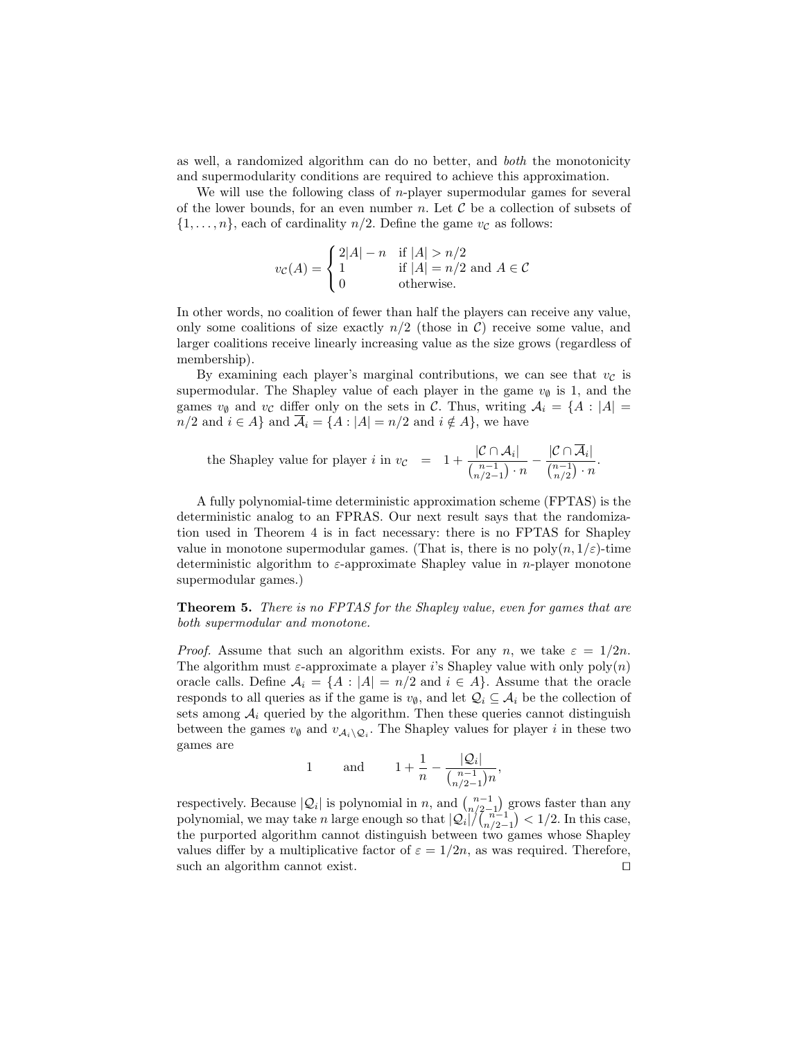as well, a randomized algorithm can do no better, and both the monotonicity and supermodularity conditions are required to achieve this approximation.

We will use the following class of  $n$ -player supermodular games for several of the lower bounds, for an even number n. Let  $\mathcal C$  be a collection of subsets of  $\{1,\ldots,n\}$ , each of cardinality  $n/2$ . Define the game  $v_{\mathcal{C}}$  as follows:

$$
v_{\mathcal{C}}(A) = \begin{cases} 2|A| - n & \text{if } |A| > n/2 \\ 1 & \text{if } |A| = n/2 \text{ and } A \in \mathcal{C} \\ 0 & \text{otherwise.} \end{cases}
$$

In other words, no coalition of fewer than half the players can receive any value, only some coalitions of size exactly  $n/2$  (those in C) receive some value, and larger coalitions receive linearly increasing value as the size grows (regardless of membership).

By examining each player's marginal contributions, we can see that  $v<sub>C</sub>$  is supermodular. The Shapley value of each player in the game  $v_{\emptyset}$  is 1, and the games  $v_{\emptyset}$  and  $v_{\mathcal{C}}$  differ only on the sets in C. Thus, writing  $\mathcal{A}_i = \{A : |A| =$  $n/2$  and  $i \in A$  and  $\overline{A}_i = \{A : |A| = n/2 \text{ and } i \notin A\}$ , we have

the Shapley value for player *i* in 
$$
v_{\mathcal{C}} = 1 + \frac{|\mathcal{C} \cap \mathcal{A}_i|}{\binom{n-1}{n/2-1} \cdot n} - \frac{|\mathcal{C} \cap \overline{\mathcal{A}}_i|}{\binom{n-1}{n/2} \cdot n}
$$
.

A fully polynomial-time deterministic approximation scheme (FPTAS) is the deterministic analog to an FPRAS. Our next result says that the randomization used in Theorem 4 is in fact necessary: there is no FPTAS for Shapley value in monotone supermodular games. (That is, there is no  $poly(n, 1/\varepsilon)$ -time deterministic algorithm to  $\varepsilon$ -approximate Shapley value in *n*-player monotone supermodular games.)

Theorem 5. There is no FPTAS for the Shapley value, even for games that are both supermodular and monotone.

*Proof.* Assume that such an algorithm exists. For any n, we take  $\varepsilon = 1/2n$ . The algorithm must  $\varepsilon$ -approximate a player i's Shapley value with only  $poly(n)$ oracle calls. Define  $A_i = \{A : |A| = n/2 \text{ and } i \in A\}$ . Assume that the oracle responds to all queries as if the game is  $v_{\emptyset}$ , and let  $\mathcal{Q}_i \subseteq \mathcal{A}_i$  be the collection of sets among  $A_i$  queried by the algorithm. Then these queries cannot distinguish between the games  $v_{\emptyset}$  and  $v_{\mathcal{A}_i \setminus \mathcal{Q}_i}$ . The Shapley values for player i in these two games are

1 and 
$$
1 + \frac{1}{n} - \frac{|Q_i|}{\binom{n-1}{n/2-1}n}
$$
,

respectively. Because  $|Q_i|$  is polynomial in n, and  $\binom{n-1}{n/2-1}$  grows faster than any polynomial, we may take *n* large enough so that  $|Q_i|/(\binom{n-1}{n/2-1}) < 1/2$ . In this case, the purported algorithm cannot distinguish between two games whose Shapley values differ by a multiplicative factor of  $\varepsilon = 1/2n$ , as was required. Therefore, such an algorithm cannot exist.  $\square$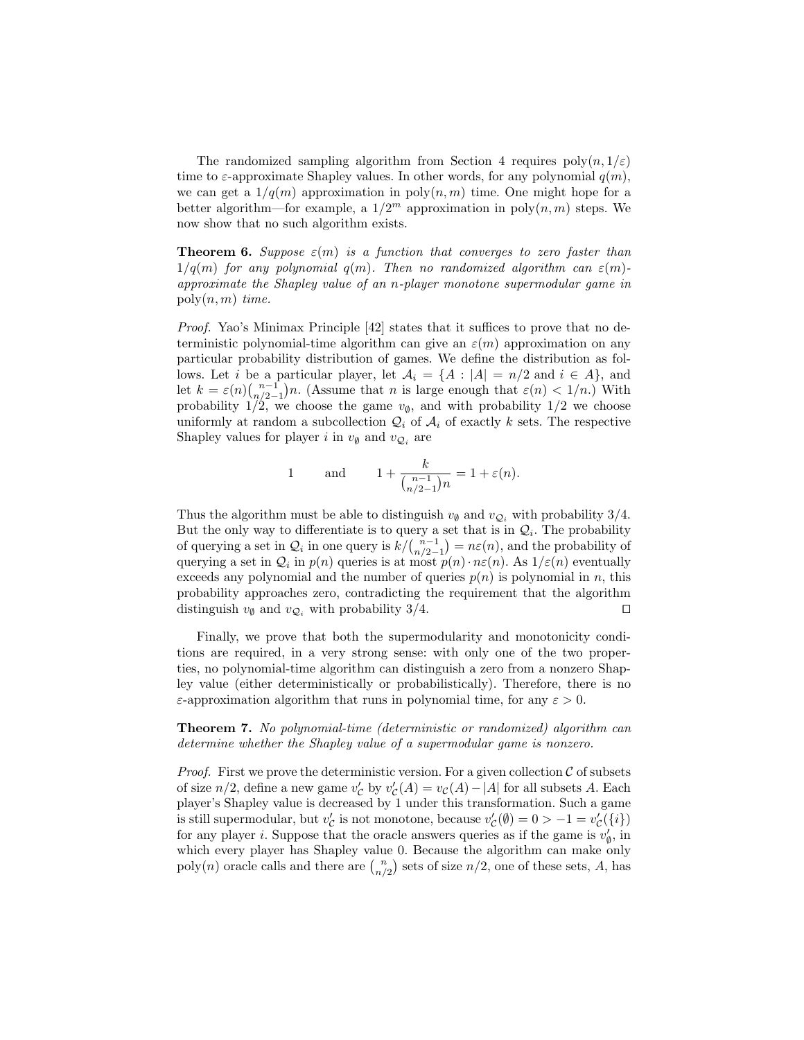The randomized sampling algorithm from Section 4 requires  $poly(n, 1/\varepsilon)$ time to  $\varepsilon$ -approximate Shapley values. In other words, for any polynomial  $q(m)$ , we can get a  $1/q(m)$  approximation in poly $(n, m)$  time. One might hope for a better algorithm—for example, a  $1/2^m$  approximation in  $\text{poly}(n,m)$  steps. We now show that no such algorithm exists.

**Theorem 6.** Suppose  $\varepsilon(m)$  is a function that converges to zero faster than  $1/q(m)$  for any polynomial  $q(m)$ . Then no randomized algorithm can  $\varepsilon(m)$ approximate the Shapley value of an n-player monotone supermodular game in  $poly(n, m)$  time.

Proof. Yao's Minimax Principle [42] states that it suffices to prove that no deterministic polynomial-time algorithm can give an  $\varepsilon(m)$  approximation on any particular probability distribution of games. We define the distribution as follows. Let i be a particular player, let  $A_i = \{A : |A| = n/2 \text{ and } i \in A\}$ , and let  $k = \varepsilon(n) \binom{n-1}{n/2-1} n$ . (Assume that n is large enough that  $\varepsilon(n) < 1/n$ .) With probability  $1/2$ , we choose the game  $v_{\emptyset}$ , and with probability  $1/2$  we choose uniformly at random a subcollection  $\mathcal{Q}_i$  of  $\mathcal{A}_i$  of exactly k sets. The respective Shapley values for player *i* in  $v_{\emptyset}$  and  $v_{\mathcal{Q}_i}$  are

1 and 
$$
1 + \frac{k}{\binom{n-1}{n/2-1}n} = 1 + \varepsilon(n)
$$
.

Thus the algorithm must be able to distinguish  $v_{\emptyset}$  and  $v_{\mathcal{Q}_i}$  with probability 3/4. But the only way to differentiate is to query a set that is in  $\mathcal{Q}_i$ . The probability of querying a set in  $\mathcal{Q}_i$  in one query is  $k/{n-1 \choose n/2-1} = n\varepsilon(n)$ , and the probability of querying a set in  $\mathcal{Q}_i$  in  $p(n)$  queries is at most  $p(n) \cdot n \varepsilon(n)$ . As  $1/\varepsilon(n)$  eventually exceeds any polynomial and the number of queries  $p(n)$  is polynomial in n, this probability approaches zero, contradicting the requirement that the algorithm distinguish  $v_{\emptyset}$  and  $v_{\mathcal{Q}_i}$  with probability 3/4.

Finally, we prove that both the supermodularity and monotonicity conditions are required, in a very strong sense: with only one of the two properties, no polynomial-time algorithm can distinguish a zero from a nonzero Shapley value (either deterministically or probabilistically). Therefore, there is no  $\varepsilon$ -approximation algorithm that runs in polynomial time, for any  $\varepsilon > 0$ .

Theorem 7. No polynomial-time (deterministic or randomized) algorithm can determine whether the Shapley value of a supermodular game is nonzero.

*Proof.* First we prove the deterministic version. For a given collection  $\mathcal C$  of subsets of size  $n/2$ , define a new game  $v'_{\mathcal{C}}$  by  $v'_{\mathcal{C}}(A) = v_{\mathcal{C}}(A) - |A|$  for all subsets A. Each player's Shapley value is decreased by 1 under this transformation. Such a game is still supermodular, but  $v'_{\mathcal{C}}$  is not monotone, because  $v'_{\mathcal{C}}(\emptyset) = 0 > -1 = v'_{\mathcal{C}}(\{i\})$ for any player *i*. Suppose that the oracle answers queries as if the game is  $v'_{\emptyset}$ , in which every player has Shapley value 0. Because the algorithm can make only  $poly(n)$  oracle calls and there are  $\binom{n}{n/2}$  sets of size  $n/2$ , one of these sets, A, has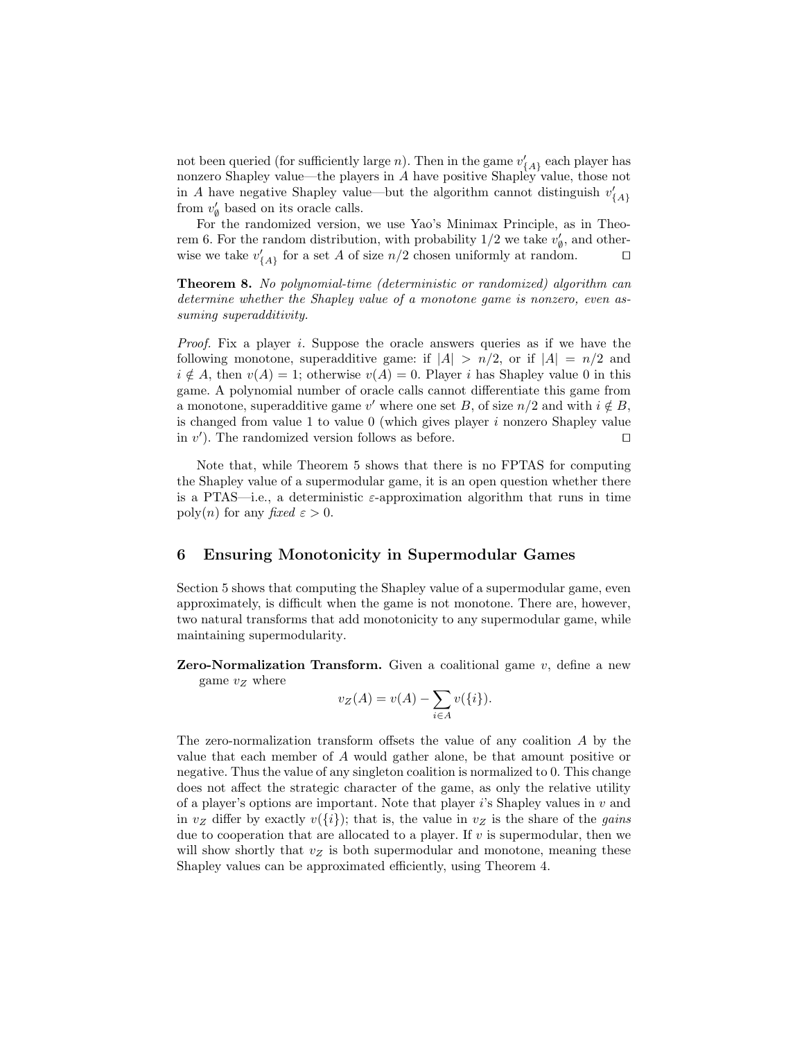not been queried (for sufficiently large *n*). Then in the game  $v'_{\{A\}}$  each player has nonzero Shapley value—the players in A have positive Shapley value, those not in A have negative Shapley value—but the algorithm cannot distinguish  $v'_{\{A\}}$ from  $v'_{\emptyset}$  based on its oracle calls.

For the randomized version, we use Yao's Minimax Principle, as in Theorem 6. For the random distribution, with probability  $1/2$  we take  $v'_{\emptyset}$ , and otherwise we take  $v'_{\{A\}}$  for a set A of size  $n/2$  chosen uniformly at random.  $\square$ 

Theorem 8. No polynomial-time (deterministic or randomized) algorithm can determine whether the Shapley value of a monotone game is nonzero, even assuming superadditivity.

Proof. Fix a player i. Suppose the oracle answers queries as if we have the following monotone, superadditive game: if  $|A| > n/2$ , or if  $|A| = n/2$  and  $i \notin A$ , then  $v(A) = 1$ ; otherwise  $v(A) = 0$ . Player i has Shapley value 0 in this game. A polynomial number of oracle calls cannot differentiate this game from a monotone, superadditive game v' where one set B, of size  $n/2$  and with  $i \notin B$ , is changed from value 1 to value  $0$  (which gives player i nonzero Shapley value in  $v'$ ). The randomized version follows as before.

Note that, while Theorem 5 shows that there is no FPTAS for computing the Shapley value of a supermodular game, it is an open question whether there is a PTAS—i.e., a deterministic  $\varepsilon$ -approximation algorithm that runs in time poly(n) for any fixed  $\varepsilon > 0$ .

# 6 Ensuring Monotonicity in Supermodular Games

Section 5 shows that computing the Shapley value of a supermodular game, even approximately, is difficult when the game is not monotone. There are, however, two natural transforms that add monotonicity to any supermodular game, while maintaining supermodularity.

**Zero-Normalization Transform.** Given a coalitional game  $v$ , define a new game  $v_Z$  where

$$
v_Z(A) = v(A) - \sum_{i \in A} v(\{i\}).
$$

The zero-normalization transform offsets the value of any coalition A by the value that each member of A would gather alone, be that amount positive or negative. Thus the value of any singleton coalition is normalized to 0. This change does not affect the strategic character of the game, as only the relative utility of a player's options are important. Note that player is Shapley values in  $v$  and in  $v_Z$  differ by exactly  $v({i})$ ; that is, the value in  $v_Z$  is the share of the *gains* due to cooperation that are allocated to a player. If  $v$  is supermodular, then we will show shortly that  $v_Z$  is both supermodular and monotone, meaning these Shapley values can be approximated efficiently, using Theorem 4.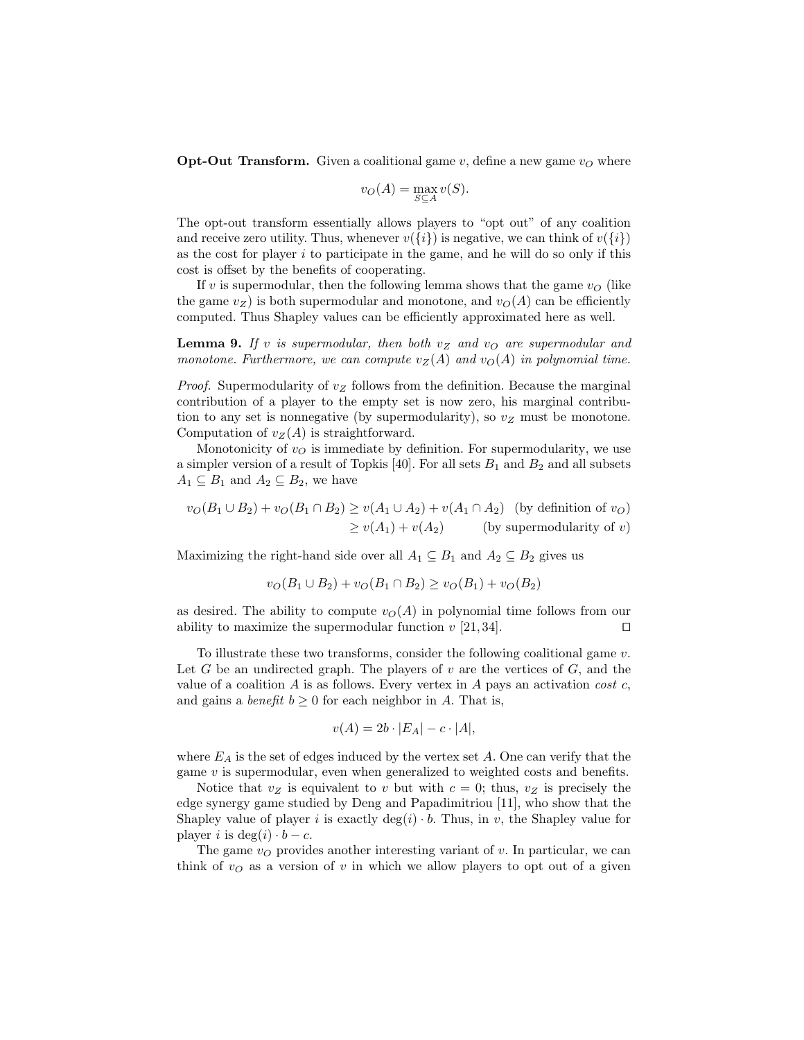**Opt-Out Transform.** Given a coalitional game  $v$ , define a new game  $v<sub>O</sub>$  where

$$
v_O(A) = \max_{S \subseteq A} v(S).
$$

The opt-out transform essentially allows players to "opt out" of any coalition and receive zero utility. Thus, whenever  $v({i})$  is negative, we can think of  $v({i})$ as the cost for player  $i$  to participate in the game, and he will do so only if this cost is offset by the benefits of cooperating.

If v is supermodular, then the following lemma shows that the game  $v<sub>O</sub>$  (like the game  $v_Z$ ) is both supermodular and monotone, and  $v_O(A)$  can be efficiently computed. Thus Shapley values can be efficiently approximated here as well.

**Lemma 9.** If v is supermodular, then both  $v_Z$  and  $v_O$  are supermodular and monotone. Furthermore, we can compute  $v_Z(A)$  and  $v_O(A)$  in polynomial time.

*Proof.* Supermodularity of  $v_Z$  follows from the definition. Because the marginal contribution of a player to the empty set is now zero, his marginal contribution to any set is nonnegative (by supermodularity), so  $v_Z$  must be monotone. Computation of  $v_Z(A)$  is straightforward.

Monotonicity of  $v<sub>O</sub>$  is immediate by definition. For supermodularity, we use a simpler version of a result of Topkis  $[40]$ . For all sets  $B_1$  and  $B_2$  and all subsets  $A_1 \subseteq B_1$  and  $A_2 \subseteq B_2$ , we have

$$
v_O(B_1 \cup B_2) + v_O(B_1 \cap B_2) \ge v(A_1 \cup A_2) + v(A_1 \cap A_2)
$$
 (by definition of  $v_O$ )  

$$
\ge v(A_1) + v(A_2)
$$
 (by supermodularity of  $v$ )

Maximizing the right-hand side over all  $A_1 \subseteq B_1$  and  $A_2 \subseteq B_2$  gives us

$$
v_O(B_1 \cup B_2) + v_O(B_1 \cap B_2) \ge v_O(B_1) + v_O(B_2)
$$

as desired. The ability to compute  $v<sub>O</sub>(A)$  in polynomial time follows from our ability to maximize the supermodular function  $v$  [21, 34].

To illustrate these two transforms, consider the following coalitional game  $v$ . Let G be an undirected graph. The players of  $v$  are the vertices of  $G$ , and the value of a coalition  $A$  is as follows. Every vertex in  $A$  pays an activation cost  $c$ , and gains a *benefit*  $b \geq 0$  for each neighbor in A. That is,

$$
v(A) = 2b \cdot |E_A| - c \cdot |A|,
$$

where  $E_A$  is the set of edges induced by the vertex set  $A$ . One can verify that the game  $v$  is supermodular, even when generalized to weighted costs and benefits.

Notice that  $v_Z$  is equivalent to v but with  $c = 0$ ; thus,  $v_Z$  is precisely the edge synergy game studied by Deng and Papadimitriou [11], who show that the Shapley value of player *i* is exactly  $deg(i) \cdot b$ . Thus, in *v*, the Shapley value for player i is deg(i)  $\cdot b - c$ .

The game  $v<sub>O</sub>$  provides another interesting variant of v. In particular, we can think of  $v<sub>O</sub>$  as a version of v in which we allow players to opt out of a given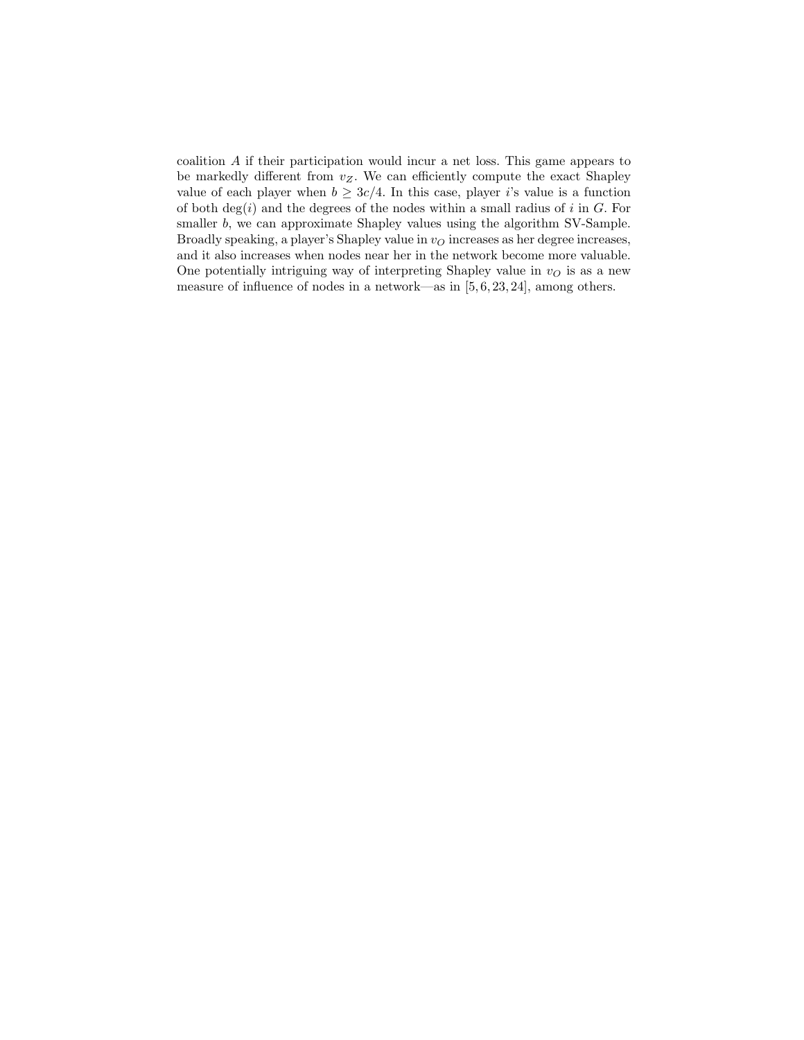coalition A if their participation would incur a net loss. This game appears to be markedly different from  $v_Z$ . We can efficiently compute the exact Shapley value of each player when  $b \geq 3c/4$ . In this case, player i's value is a function of both  $deg(i)$  and the degrees of the nodes within a small radius of i in G. For smaller b, we can approximate Shapley values using the algorithm SV-Sample. Broadly speaking, a player's Shapley value in  $v<sub>O</sub>$  increases as her degree increases, and it also increases when nodes near her in the network become more valuable. One potentially intriguing way of interpreting Shapley value in  $v<sub>O</sub>$  is as a new measure of influence of nodes in a network—as in [5, 6, 23, 24], among others.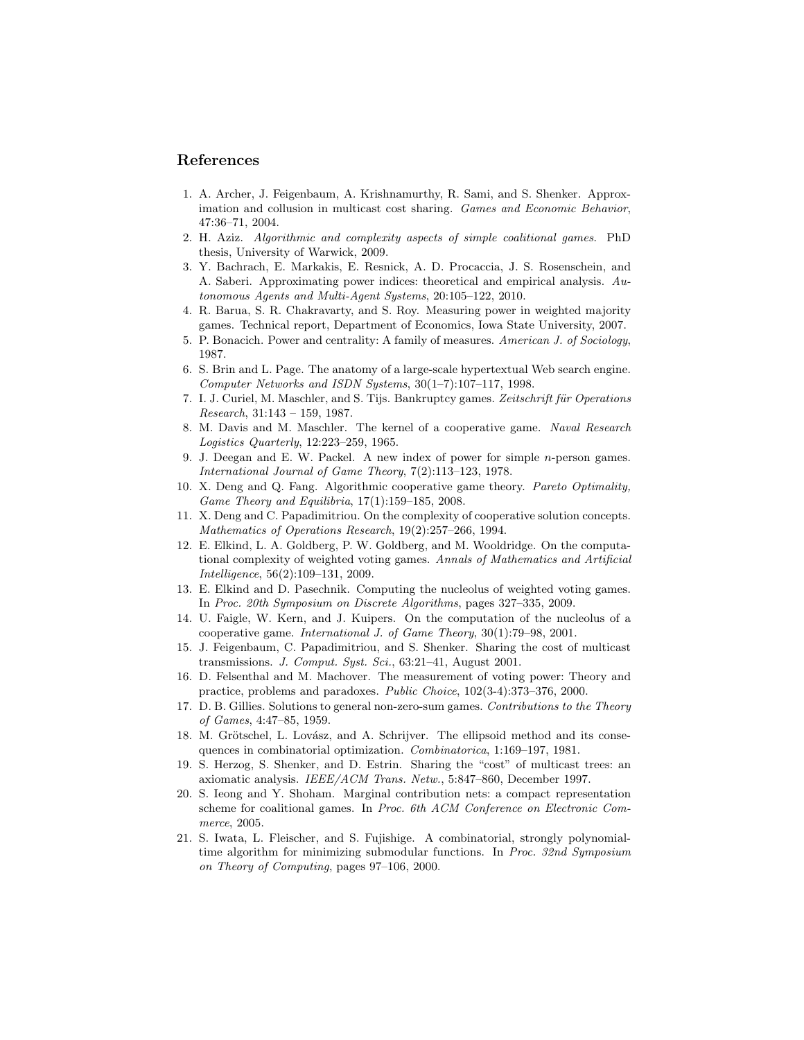#### References

- 1. A. Archer, J. Feigenbaum, A. Krishnamurthy, R. Sami, and S. Shenker. Approximation and collusion in multicast cost sharing. Games and Economic Behavior, 47:36–71, 2004.
- 2. H. Aziz. Algorithmic and complexity aspects of simple coalitional games. PhD thesis, University of Warwick, 2009.
- 3. Y. Bachrach, E. Markakis, E. Resnick, A. D. Procaccia, J. S. Rosenschein, and A. Saberi. Approximating power indices: theoretical and empirical analysis. Autonomous Agents and Multi-Agent Systems, 20:105–122, 2010.
- 4. R. Barua, S. R. Chakravarty, and S. Roy. Measuring power in weighted majority games. Technical report, Department of Economics, Iowa State University, 2007.
- 5. P. Bonacich. Power and centrality: A family of measures. American J. of Sociology, 1987.
- 6. S. Brin and L. Page. The anatomy of a large-scale hypertextual Web search engine. Computer Networks and ISDN Systems, 30(1–7):107–117, 1998.
- 7. I. J. Curiel, M. Maschler, and S. Tijs. Bankruptcy games. Zeitschrift für Operations Research, 31:143 – 159, 1987.
- 8. M. Davis and M. Maschler. The kernel of a cooperative game. Naval Research Logistics Quarterly, 12:223–259, 1965.
- 9. J. Deegan and E. W. Packel. A new index of power for simple n-person games. International Journal of Game Theory, 7(2):113–123, 1978.
- 10. X. Deng and Q. Fang. Algorithmic cooperative game theory. Pareto Optimality, Game Theory and Equilibria, 17(1):159–185, 2008.
- 11. X. Deng and C. Papadimitriou. On the complexity of cooperative solution concepts. Mathematics of Operations Research, 19(2):257–266, 1994.
- 12. E. Elkind, L. A. Goldberg, P. W. Goldberg, and M. Wooldridge. On the computational complexity of weighted voting games. Annals of Mathematics and Artificial Intelligence, 56(2):109–131, 2009.
- 13. E. Elkind and D. Pasechnik. Computing the nucleolus of weighted voting games. In Proc. 20th Symposium on Discrete Algorithms, pages 327–335, 2009.
- 14. U. Faigle, W. Kern, and J. Kuipers. On the computation of the nucleolus of a cooperative game. International J. of Game Theory, 30(1):79–98, 2001.
- 15. J. Feigenbaum, C. Papadimitriou, and S. Shenker. Sharing the cost of multicast transmissions. J. Comput. Syst. Sci., 63:21–41, August 2001.
- 16. D. Felsenthal and M. Machover. The measurement of voting power: Theory and practice, problems and paradoxes. Public Choice, 102(3-4):373–376, 2000.
- 17. D. B. Gillies. Solutions to general non-zero-sum games. Contributions to the Theory of Games, 4:47–85, 1959.
- 18. M. Grötschel, L. Lovász, and A. Schrijver. The ellipsoid method and its consequences in combinatorial optimization. Combinatorica, 1:169–197, 1981.
- 19. S. Herzog, S. Shenker, and D. Estrin. Sharing the "cost" of multicast trees: an axiomatic analysis. IEEE/ACM Trans. Netw., 5:847–860, December 1997.
- 20. S. Ieong and Y. Shoham. Marginal contribution nets: a compact representation scheme for coalitional games. In Proc. 6th ACM Conference on Electronic Commerce, 2005.
- 21. S. Iwata, L. Fleischer, and S. Fujishige. A combinatorial, strongly polynomialtime algorithm for minimizing submodular functions. In Proc. 32nd Symposium on Theory of Computing, pages 97–106, 2000.